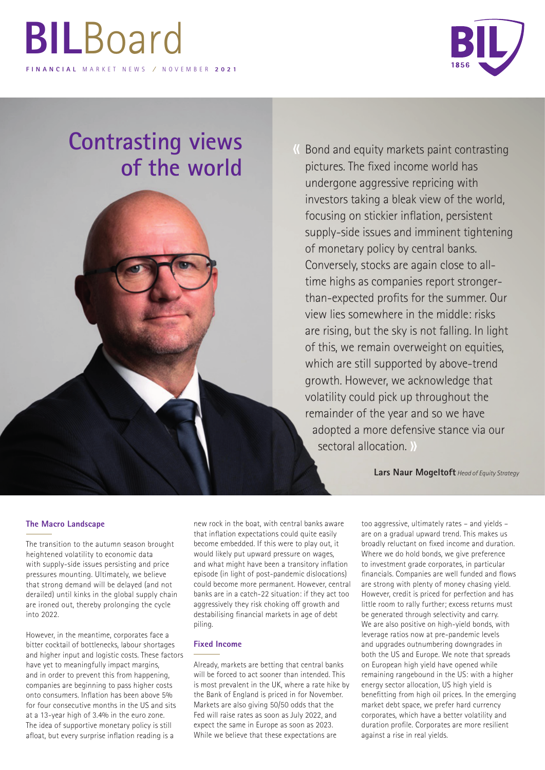# **BIL**Board **FINANCIAL** MARKET NEWS **/** NOVEMBER **2021**



## **Contrasting views of the world**

Bond and equity markets paint contrasting « pictures. The fixed income world has undergone aggressive repricing with investors taking a bleak view of the world, focusing on stickier inflation, persistent supply-side issues and imminent tightening of monetary policy by central banks. Conversely, stocks are again close to alltime highs as companies report strongerthan-expected profits for the summer. Our view lies somewhere in the middle: risks are rising, but the sky is not falling. In light of this, we remain overweight on equities, which are still supported by above-trend growth. However, we acknowledge that volatility could pick up throughout the remainder of the year and so we have adopted a more defensive stance via our sectoral allocation. »

**Lars Naur Mogeltoft** *Head of Equity Strategy*

### **The Macro Landscape**

The transition to the autumn season brought heightened volatility to economic data with supply-side issues persisting and price pressures mounting. Ultimately, we believe that strong demand will be delayed (and not derailed) until kinks in the global supply chain are ironed out, thereby prolonging the cycle into 2022.

However, in the meantime, corporates face a bitter cocktail of bottlenecks, labour shortages and higher input and logistic costs. These factors have yet to meaningfully impact margins, and in order to prevent this from happening, companies are beginning to pass higher costs onto consumers. Inflation has been above 5% for four consecutive months in the US and sits at a 13-year high of 3.4% in the euro zone. The idea of supportive monetary policy is still afloat, but every surprise inflation reading is a

new rock in the boat, with central banks aware that inflation expectations could quite easily become embedded. If this were to play out, it would likely put upward pressure on wages, and what might have been a transitory inflation episode (in light of post-pandemic dislocations) could become more permanent. However, central banks are in a catch-22 situation: if they act too aggressively they risk choking off growth and destabilising financial markets in age of debt piling.

#### **Fixed Income**

Already, markets are betting that central banks will be forced to act sooner than intended. This is most prevalent in the UK, where a rate hike by the Bank of England is priced in for November. Markets are also giving 50/50 odds that the Fed will raise rates as soon as July 2022, and expect the same in Europe as soon as 2023. While we believe that these expectations are

too aggressive, ultimately rates – and yields – are on a gradual upward trend. This makes us broadly reluctant on fixed income and duration. Where we do hold bonds, we give preference to investment grade corporates, in particular financials. Companies are well funded and flows are strong with plenty of money chasing yield. However, credit is priced for perfection and has little room to rally further; excess returns must be generated through selectivity and carry. We are also positive on high-yield bonds, with leverage ratios now at pre-pandemic levels and upgrades outnumbering downgrades in both the US and Europe. We note that spreads on European high yield have opened while remaining rangebound in the US: with a higher energy sector allocation, US high yield is benefitting from high oil prices. In the emerging market debt space, we prefer hard currency corporates, which have a better volatility and duration profile. Corporates are more resilient against a rise in real yields.